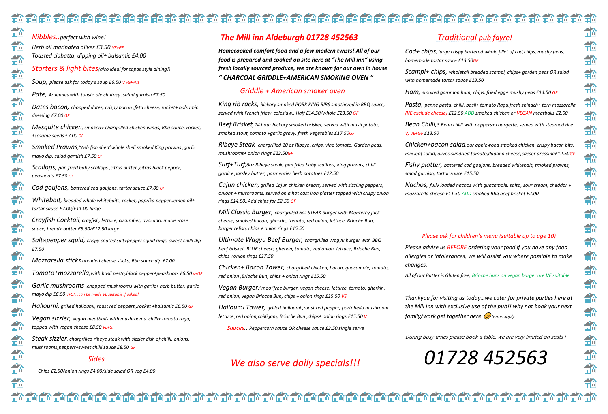*Nibbles..perfect with wine! Herb oil marinated olives £3.50 VE+GF Toasted ciabatta, dipping oil+ balsamic £4.00 Starters & light bites(also ideal for tapas style dining!) Soup, please ask for today's soup £6.50 V +GF+VE Pate, Ardennes with toast+ ale chutney ,salad garnish £7.50 Dates bacon, chopped dates, crispy bacon ,feta cheese, rocket+ balsamic dressing £7.00 GF Mesquite chicken, smoked+ chargrilled chicken wings, Bbq sauce, rocket, +sesame seeds £7.00 GF Smoked Prawns,"Ash fish shed"whole shell smoked King prawns ,garlic mayo dip, salad garnish £7.50 GF Scallops, pan fried baby scallops ,citrus butter ,citrus black pepper, peashoots £7.50 GF Cod goujons, battered cod goujons, tartar sauce £7.00 GF Whitebait, breaded whole whitebaits, rocket, paprika pepper,lemon oil+ tartar sauce £7.00/£11.00 large Crayfish Cocktail, crayfish, lettuce, cucumber, avocado, marie -rose sauce, bread+ butter £8.50/£12.50 large Salt&pepper squid, crispy coated salt+pepper squid rings, sweet chilli dip £7.50 Mozzarella sticks breaded cheese sticks, Bbq sauce dip £7.00 Tomato+mozzarella,with basil pesto,black pepper+peashoots £6.50 v+GF Garlic mushrooms ,chopped mushrooms with garlic+ herb butter, garlic mayo dip £6.50 v+GF…can be made VE suitable if asked! Halloumi, grilled halloumi, roast red peppers ,rocket +balsamic £6.50 GF Vegan sizzler, vegan meatballs with mushrooms, chilli+ tomato ragu,* 

*topped with vegan cheese £8.50 VE+GF*

*Steak sizzler, chargrilled ribeye steak with sizzler dish of chilli, onions, mushrooms,peppers+sweet chilli sauce £8.50 GF*

#### *Sides*

 *Chips £2.50/onion rings £4.00/side salad OR veg £4.00*

## *The Mill inn Aldeburgh 01728 452563*

*Homecooked comfort food and a few modern twists! All of our food is prepared and cooked on site here at "The Mill inn" using fresh locally sourced produce, we are known for our own in house " CHARCOAL GRIDDLE+AMERICAN SMOKING OVEN "*

#### *Griddle + American smoker oven*

*King rib racks, hickory smoked PORK KING RIBS smothered in BBQ sauce, served with French fries+ coleslaw…Half £14.50/whole £23.50 GF*

*Beef Brisket,14 hour hickory smoked brisket, served with mash potato, smoked stout, tomato +garlic gravy, fresh vegetables £17.50GF*

*Ribeye Steak ,chargrilled 10 oz Ribeye ,chips, vine tomato, Garden peas, mushrooms+ onion rings £22.50GF*

> *Thankyou for visiting us today…we cater for private parties here at the Mill Inn with exclusive use of the pub!! why not book your next family/work get together here*  $\omega$  terms apply.

*Surf+Turf,6oz Ribeye steak, pan fried baby scallops, king prawns, chilli garlic+ parsley butter, parmentier herb potatoes £22.50*

*Cajun chicken, grilled Cajun chicken breast, served with sizzling peppers, onions + mushrooms, served on a hot cast iron platter topped with crispy onion rings £14.50..Add chips for £2.50 GF*

*Mill Classic Burger, chargrilled 6oz STEAK burger with Monterey jack cheese, smoked bacon, gherkin, tomato, red onion, lettuce, Brioche Bun, burger relish, chips + onion rings £15.50*

*Ultimate Wagyu Beef Burger, chargrilled Wagyu burger with BBQ beef brisket, BLUE cheese, gherkin, tomato, red onion, lettuce, Brioche Bun, chips +onion rings £17.50*

*Chicken+ Bacon Tower, chargrilled chicken, bacon, guacamole, tomato, red onion ,Brioche Bun, chips + onion rings £15.50*

*Vegan Burger,"moo"free burger, vegan cheese, lettuce, tomato, gherkin, red onion, vegan Brioche Bun, chips + onion rings £15.50 VE*

*Halloumi Tower, grilled halloumi ,roast red pepper, portobello mushroom lettuce ,red onion,chilli jam, Brioche Bun ,chips+ onion rings £15.50 V*

 *Sauces.. Peppercorn sauce OR cheese sauce £2.50 single serve*

## *We also serve daily specials!!!*

rmindi kon alan kataman kata di konfang dan batan sang dan kataman sa manga kataman sa mangang kataman sa mang

## *Traditional pub fayre!*

*Cod+ chips, large crispy battered whole fillet of cod,chips, mushy peas, homemade tartar sauce £13.50GF*

*Scampi+ chips, wholetail breaded scampi, chips+ garden peas OR salad with homemade tartar sauce £13.50*

*Ham, smoked gammon ham, chips, fried egg+ mushy peas £14.50 GF*

*Pasta, penne pasta, chilli, basil+ tomato Ragu,fresh spinach+ torn mozzarella (VE exclude cheese) £12.50 ADD smoked chicken or VEGAN meatballs £2.00*

*Bean Chilli,3 Bean chilli with peppers+ courgette, served with steamed rice V, VE+GF £13.50*

*Chicken+bacon salad,our applewood smoked chicken, crispy bacon bits, mix leaf salad, olives,sundried tomato,Padano cheese,caeser dressing£12.50GF*

*Fishy platter, battered cod goujons, breaded whitebait, smoked prawns, salad garnish, tartar sauce £15.50*

*Nachos, fully loaded nachos with guacamole, salsa, sour cream, cheddar + mozzarella cheese £11.50 ADD smoked Bbq beef brisket £2.00*

### *Please ask for children's menu (suitable up to age 10)*

*Please advise us BEFORE ordering your food if you have any food allergies or intolerances, we will assist you where possible to make changes.*

*All of our Batter is Gluten free, Brioche buns on vegan burger are VE suitable*

During busy times please book a table, we are very limited on seats !

# *01728 452563*